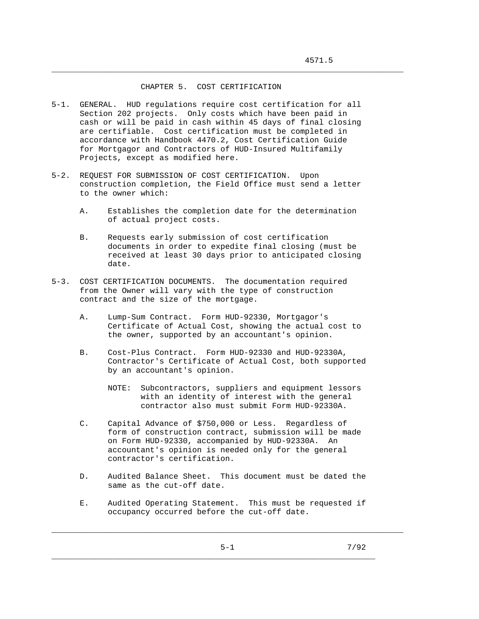## CHAPTER 5. COST CERTIFICATION

\_\_\_\_\_\_\_\_\_\_\_\_\_\_\_\_\_\_\_\_\_\_\_\_\_\_\_\_\_\_\_\_\_\_\_\_\_\_\_\_\_\_\_\_\_\_\_\_\_\_\_\_\_\_\_\_\_\_\_\_\_\_\_\_\_\_\_\_\_\_\_\_\_\_\_

- 5-1. GENERAL. HUD regulations require cost certification for all Section 202 projects. Only costs which have been paid in cash or will be paid in cash within 45 days of final closing are certifiable. Cost certification must be completed in accordance with Handbook 4470.2, Cost Certification Guide for Mortgagor and Contractors of HUD-Insured Multifamily Projects, except as modified here.
- 5-2. REQUEST FOR SUBMISSION OF COST CERTIFICATION. Upon construction completion, the Field Office must send a letter to the owner which:
	- A. Establishes the completion date for the determination of actual project costs.
	- B. Requests early submission of cost certification documents in order to expedite final closing (must be received at least 30 days prior to anticipated closing date.
- 5-3. COST CERTIFICATION DOCUMENTS. The documentation required from the Owner will vary with the type of construction contract and the size of the mortgage.
	- A. Lump-Sum Contract. Form HUD-92330, Mortgagor's Certificate of Actual Cost, showing the actual cost to the owner, supported by an accountant's opinion.
	- B. Cost-Plus Contract. Form HUD-92330 and HUD-92330A, Contractor's Certificate of Actual Cost, both supported by an accountant's opinion.
		- NOTE: Subcontractors, suppliers and equipment lessors with an identity of interest with the general contractor also must submit Form HUD-92330A.
	- C. Capital Advance of \$750,000 or Less. Regardless of form of construction contract, submission will be made on Form HUD-92330, accompanied by HUD-92330A. An accountant's opinion is needed only for the general contractor's certification.
	- D. Audited Balance Sheet. This document must be dated the same as the cut-off date.
	- E. Audited Operating Statement. This must be requested if occupancy occurred before the cut-off date.

\_\_\_\_\_\_\_\_\_\_\_\_\_\_\_\_\_\_\_\_\_\_\_\_\_\_\_\_\_\_\_\_\_\_\_\_\_\_\_\_\_\_\_\_\_\_\_\_\_\_\_\_\_\_\_\_\_\_\_\_\_\_\_\_\_\_\_\_\_

\_\_\_\_\_\_\_\_\_\_\_\_\_\_\_\_\_\_\_\_\_\_\_\_\_\_\_\_\_\_\_\_\_\_\_\_\_\_\_\_\_\_\_\_\_\_\_\_\_\_\_\_\_\_\_\_\_\_\_\_\_\_\_\_\_\_\_\_\_\_\_\_\_\_\_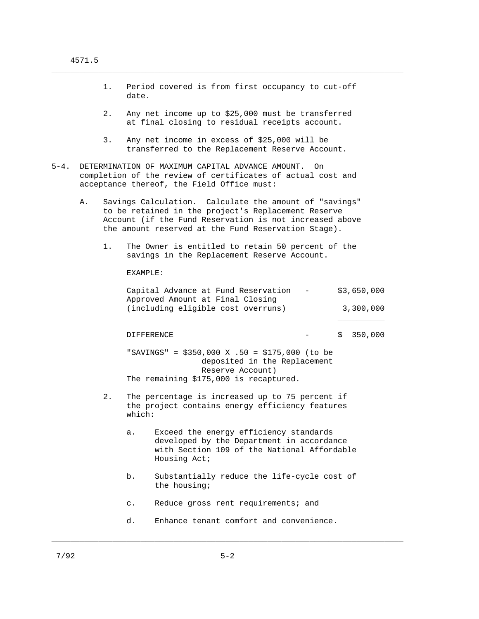|      |                                                                                                                                                                     | Period covered is from first occupancy to cut-off<br>1.<br>date. |                                                                                                                                                     |              |  |  |                                                                                                                                                                                                                                 |  |  |                          |
|------|---------------------------------------------------------------------------------------------------------------------------------------------------------------------|------------------------------------------------------------------|-----------------------------------------------------------------------------------------------------------------------------------------------------|--------------|--|--|---------------------------------------------------------------------------------------------------------------------------------------------------------------------------------------------------------------------------------|--|--|--------------------------|
|      |                                                                                                                                                                     | 2.                                                               |                                                                                                                                                     |              |  |  | Any net income up to \$25,000 must be transferred<br>at final closing to residual receipts account.                                                                                                                             |  |  |                          |
|      |                                                                                                                                                                     | 3.                                                               |                                                                                                                                                     |              |  |  | Any net income in excess of \$25,000 will be<br>transferred to the Replacement Reserve Account.                                                                                                                                 |  |  |                          |
| 5-4. | DETERMINATION OF MAXIMUM CAPITAL ADVANCE AMOUNT.<br>On<br>completion of the review of certificates of actual cost and<br>acceptance thereof, the Field Office must: |                                                                  |                                                                                                                                                     |              |  |  |                                                                                                                                                                                                                                 |  |  |                          |
|      | Α.                                                                                                                                                                  |                                                                  |                                                                                                                                                     |              |  |  | Savings Calculation. Calculate the amount of "savings"<br>to be retained in the project's Replacement Reserve<br>Account (if the Fund Reservation is not increased above<br>the amount reserved at the Fund Reservation Stage). |  |  |                          |
|      |                                                                                                                                                                     | 1.                                                               | The Owner is entitled to retain 50 percent of the<br>savings in the Replacement Reserve Account.                                                    |              |  |  |                                                                                                                                                                                                                                 |  |  |                          |
|      |                                                                                                                                                                     |                                                                  | EXAMPLE:                                                                                                                                            |              |  |  |                                                                                                                                                                                                                                 |  |  |                          |
|      |                                                                                                                                                                     |                                                                  | Capital Advance at Fund Reservation -<br>Approved Amount at Final Closing<br>(including eligible cost overruns)                                     |              |  |  |                                                                                                                                                                                                                                 |  |  | \$3,650,000<br>3,300,000 |
|      |                                                                                                                                                                     |                                                                  | <b>DIFFERENCE</b>                                                                                                                                   |              |  |  |                                                                                                                                                                                                                                 |  |  | \$350,000                |
|      |                                                                                                                                                                     |                                                                  | "SAVINGS" = $$350,000 \text{ X}.50 = $175,000$ (to be<br>deposited in the Replacement<br>Reserve Account)<br>The remaining \$175,000 is recaptured. |              |  |  |                                                                                                                                                                                                                                 |  |  |                          |
|      |                                                                                                                                                                     | 2.                                                               | The percentage is increased up to 75 percent if<br>the project contains energy efficiency features<br>which:                                        |              |  |  |                                                                                                                                                                                                                                 |  |  |                          |
|      |                                                                                                                                                                     |                                                                  | а.                                                                                                                                                  | Housing Act; |  |  | Exceed the energy efficiency standards<br>developed by the Department in accordance<br>with Section 109 of the National Affordable                                                                                              |  |  |                          |
|      |                                                                                                                                                                     |                                                                  | b.                                                                                                                                                  | the housing; |  |  | Substantially reduce the life-cycle cost of                                                                                                                                                                                     |  |  |                          |

c. Reduce gross rent requirements; and

d. Enhance tenant comfort and convenience.

\_\_\_\_\_\_\_\_\_\_\_\_\_\_\_\_\_\_\_\_\_\_\_\_\_\_\_\_\_\_\_\_\_\_\_\_\_\_\_\_\_\_\_\_\_\_\_\_\_\_\_\_\_\_\_\_\_\_\_\_\_\_\_\_\_\_\_\_\_\_\_\_\_\_\_